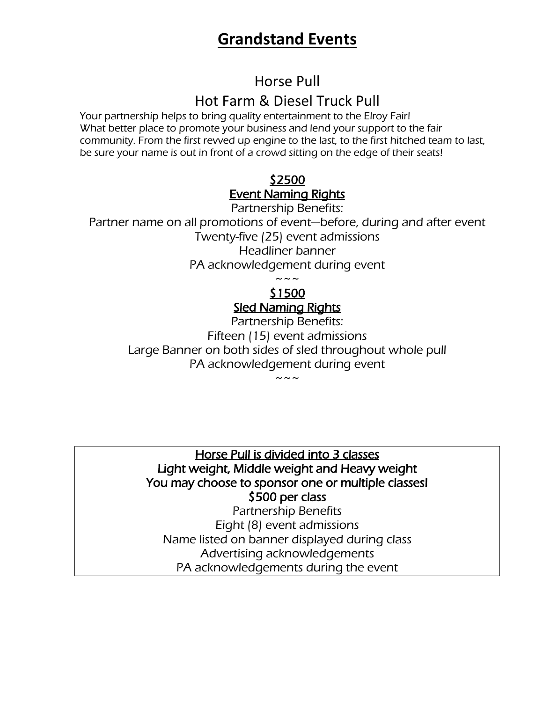# **Grandstand Events**

Horse Pull Hot Farm & Diesel Truck Pull

Your partnership helps to bring quality entertainment to the Elroy Fair! What better place to promote your business and lend your support to the fair community. From the first revved up engine to the last, to the first hitched team to last, be sure your name is out in front of a crowd sitting on the edge of their seats!

### \$2500 Event Naming Rights

Partnership Benefits: Partner name on all promotions of event—before, during and after event Twenty-five (25) event admissions Headliner banner PA acknowledgement during event  $\sim\,\sim\,\sim$ 

#### \$1500 Sled Naming Rights

Partnership Benefits: Fifteen (15) event admissions Large Banner on both sides of sled throughout whole pull PA acknowledgement during event  $\sim\, \sim$   $\sim$ 

Horse Pull is divided into 3 classes Light weight, Middle weight and Heavy weight You may choose to sponsor one or multiple classes! \$500 per class

Partnership Benefits Eight (8) event admissions Name listed on banner displayed during class Advertising acknowledgements PA acknowledgements during the event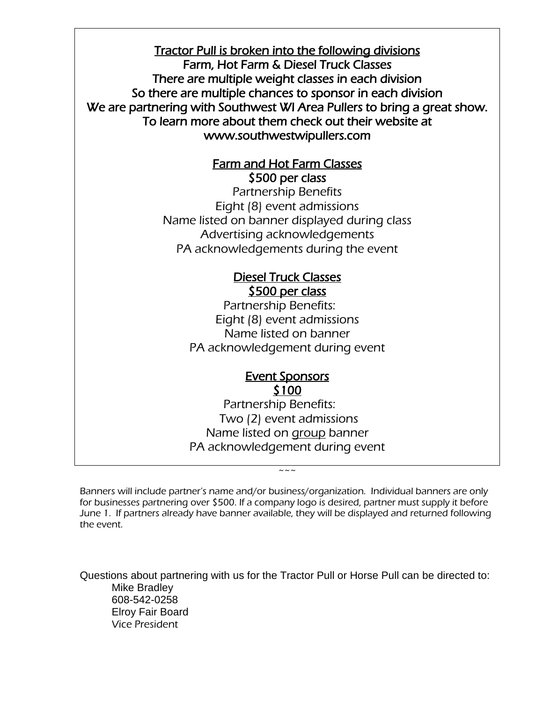Tractor Pull is broken into the following divisions Farm, Hot Farm & Diesel Truck Classes There are multiple weight classes in each division So there are multiple chances to sponsor in each division We are partnering with Southwest WI Area Pullers to bring a great show. To learn more about them check out their website at www.southwestwipullers.com

#### Farm and Hot Farm Classes \$500 per class

Partnership Benefits Eight (8) event admissions Name listed on banner displayed during class Advertising acknowledgements PA acknowledgements during the event

#### Diesel Truck Classes \$500 per class

Partnership Benefits: Eight (8) event admissions Name listed on banner PA acknowledgement during event

#### Event Sponsors \$100

Partnership Benefits: Two (2) event admissions Name listed on group banner PA acknowledgement during event

Banners will include partner's name and/or business/organization. Individual banners are only for businesses partnering over \$500. If a company logo is desired, partner must supply it before June 1. If partners already have banner available, they will be displayed and returned following the event.

 $\sim$   $\sim$   $\sim$ 

Questions about partnering with us for the Tractor Pull or Horse Pull can be directed to: Mike Bradley 608-542-0258 Elroy Fair Board Vice President